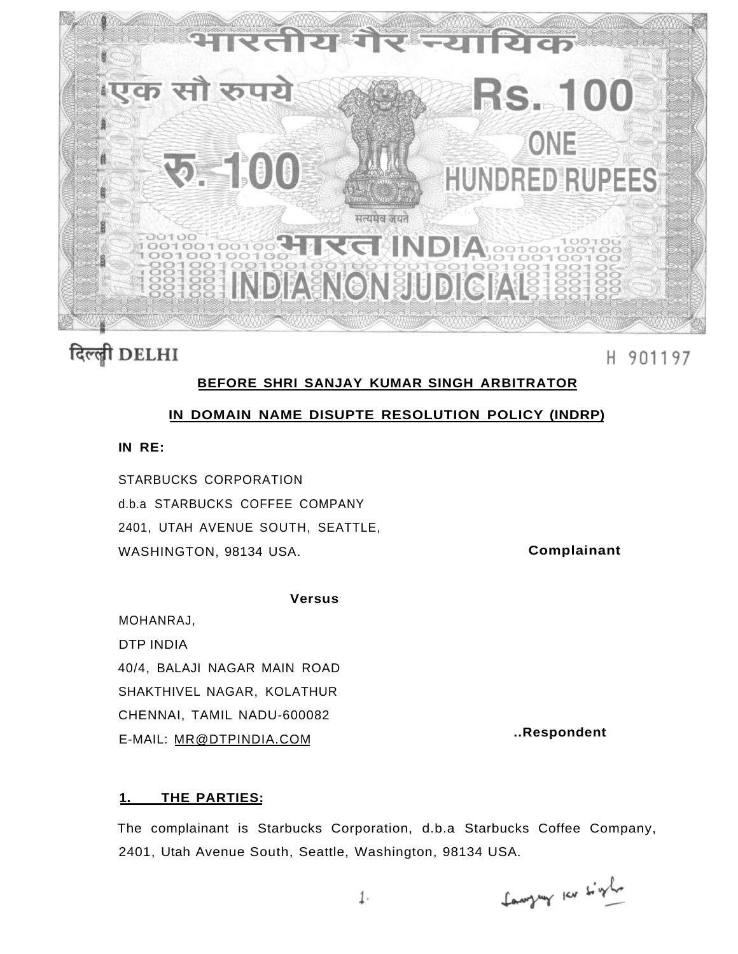

# दिल्ली DELHI

H 901197

### **BEFORE SHRI SANJAY KUMAR SINGH ARBITRATOR**

### **IN DOMAIN NAME DISUPTE RESOLUTION POLICY (INDRP)**

### **IN RE:**

STARBUCKS CORPORATION d.b.a STARBUCKS COFFEE COMPANY 2401, UTAH AVENUE SOUTH, SEATTLE, WASHINGTON, 98134 USA. **Complainant** 

#### **Versus**

MOHANRAJ, DTP INDIA 40/4, BALAJI NAGAR MAIN ROAD SHAKTHIVEL NAGAR, KOLATHUR CHENNAI, TAMIL NADU-600082 E-MAIL: [MR@DTPINDIA.COM](mailto:MR@DTPINDIA.COM) **..Respondent** 

### **1. THE PARTIES:**

The complainant is Starbucks Corporation, d.b.a Starbucks Coffee Company, 2401, Utah Avenue South, Seattle, Washington, 98134 USA.

Languy Kr tight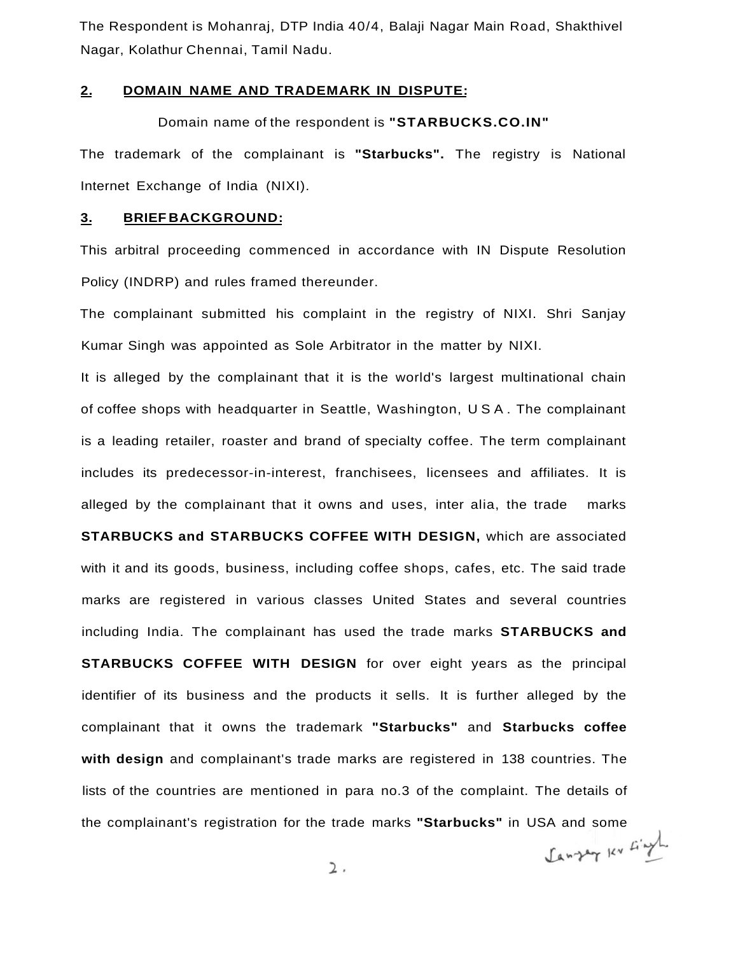The Respondent is Mohanraj, DTP India 40/4, Balaji Nagar Main Road, Shakthivel Nagar, Kolathur Chennai, Tamil Nadu.

#### **2. DOMAIN NAME AND TRADEMARK IN DISPUTE:**

Domain name of the respondent is **"STARBUCKS.CO.IN"** 

The trademark of the complainant is **"Starbucks".** The registry is National Internet Exchange of India (NIXI).

### **3. BRIEF BACKGROUND:**

This arbitral proceeding commenced in accordance with IN Dispute Resolution Policy (INDRP) and rules framed thereunder.

The complainant submitted his complaint in the registry of NIXI. Shri Sanjay Kumar Singh was appointed as Sole Arbitrator in the matter by NIXI.

It is alleged by the complainant that it is the world's largest multinational chain of coffee shops with headquarter in Seattle, Washington, USA . The complainant is a leading retailer, roaster and brand of specialty coffee. The term complainant includes its predecessor-in-interest, franchisees, licensees and affiliates. It is alleged by the complainant that it owns and uses, inter alia, the trade marks **STARBUCKS and STARBUCKS COFFEE WITH DESIGN,** which are associated with it and its goods, business, including coffee shops, cafes, etc. The said trade marks are registered in various classes United States and several countries including India. The complainant has used the trade marks **STARBUCKS and STARBUCKS COFFEE WITH DESIGN** for over eight years as the principal identifier of its business and the products it sells. It is further alleged by the complainant that it owns the trademark **"Starbucks"** and **Starbucks coffee with design** and complainant's trade marks are registered in 138 countries. The lists of the countries are mentioned in para no.3 of the complaint. The details of the complainant's registration for the trade marks **"Starbucks"** in USA and some

Samply Kr Lingh

2,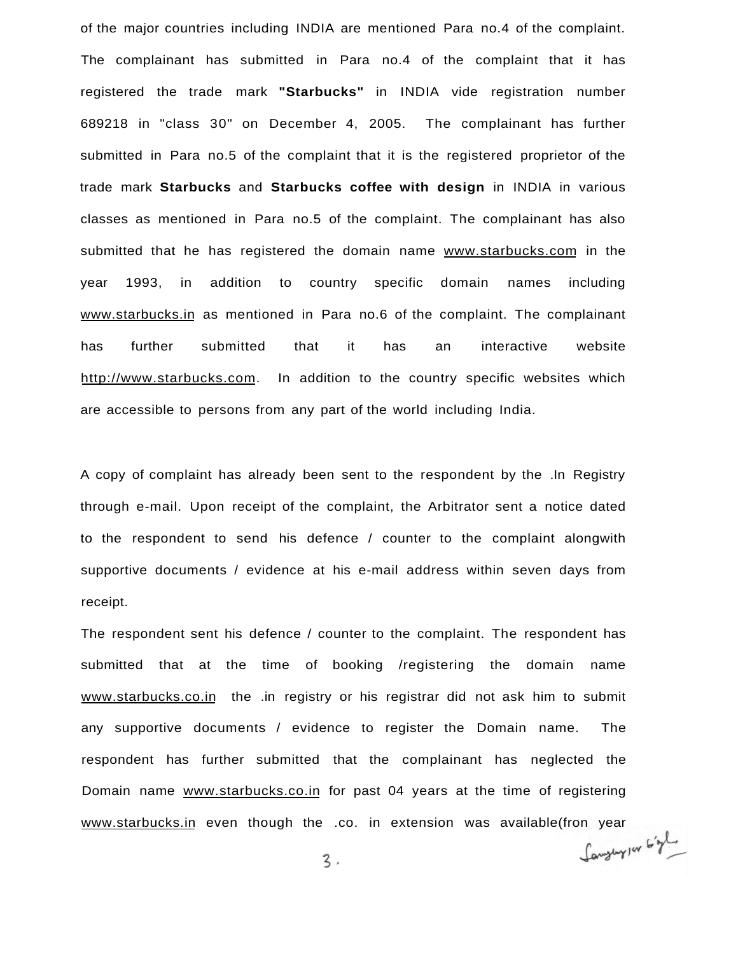of the major countries including INDIA are mentioned Para no.4 of the complaint. The complainant has submitted in Para no.4 of the complaint that it has registered the trade mark **"Starbucks"** in INDIA vide registration number 689218 in "class 30" on December 4, 2005. The complainant has further submitted in Para no.5 of the complaint that it is the registered proprietor of the trade mark **Starbucks** and **Starbucks coffee with design** in INDIA in various classes as mentioned in Para no.5 of the complaint. The complainant has also submitted that he has registered the domain name [www.starbucks.com i](http://www.starbucks.com)n the year 1993, in addition to country specific domain names including [www.starbucks.in a](http://www.starbucks.in)s mentioned in Para no.6 of the complaint. The complainant has further submitted that it has an interactive website [http://www.starbucks.com.](http://www.starbucks.com) In addition to the country specific websites which are accessible to persons from any part of the world including India.

A copy of complaint has already been sent to the respondent by the .In Registry through e-mail. Upon receipt of the complaint, the Arbitrator sent a notice dated to the respondent to send his defence / counter to the complaint alongwith supportive documents / evidence at his e-mail address within seven days from receipt.

The respondent sent his defence / counter to the complaint. The respondent has submitted that at the time of booking /registering the domain name [www.starbucks.co.in](http://www.starbucks.co.in) the .in registry or his registrar did not ask him to submit any supportive documents / evidence to register the Domain name. The respondent has further submitted that the complainant has neglected the Domain name [www.starbucks.co.in](http://www.starbucks.co.in) for past 04 years at the time of registering [www.starbucks.in](http://www.starbucks.in) even though the .co. in extension was available(fron year<br>میگریم استعداد است.

 $3.$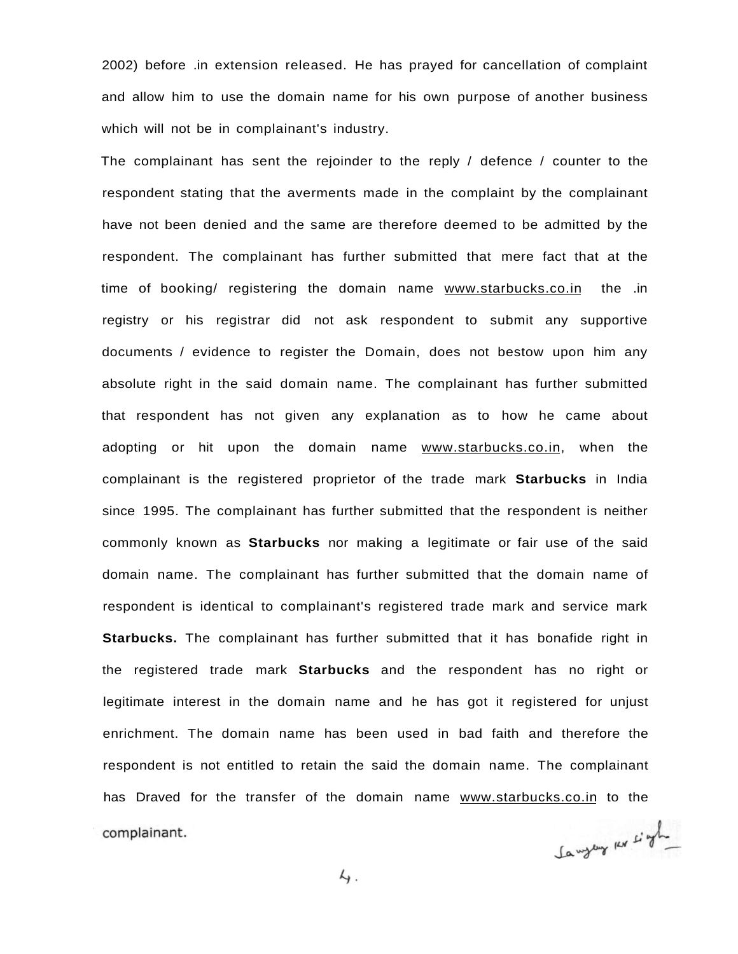2002) before .in extension released. He has prayed for cancellation of complaint and allow him to use the domain name for his own purpose of another business which will not be in complainant's industry.

The complainant has sent the rejoinder to the reply / defence / counter to the respondent stating that the averments made in the complaint by the complainant have not been denied and the same are therefore deemed to be admitted by the respondent. The complainant has further submitted that mere fact that at the time of booking/ registering the domain name [www.starbucks.co.in](http://www.starbucks.co.in) the .in registry or his registrar did not ask respondent to submit any supportive documents / evidence to register the Domain, does not bestow upon him any absolute right in the said domain name. The complainant has further submitted that respondent has not given any explanation as to how he came about adopting or hit upon the domain name [www.starbucks.co.in,](http://www.starbucks.co.in) when the complainant is the registered proprietor of the trade mark **Starbucks** in India since 1995. The complainant has further submitted that the respondent is neither commonly known as **Starbucks** nor making a legitimate or fair use of the said domain name. The complainant has further submitted that the domain name of respondent is identical to complainant's registered trade mark and service mark **Starbucks.** The complainant has further submitted that it has bonafide right in the registered trade mark **Starbucks** and the respondent has no right or legitimate interest in the domain name and he has got it registered for unjust enrichment. The domain name has been used in bad faith and therefore the respondent is not entitled to retain the said the domain name. The complainant has Draved for the transfer of the domain name [www.starbucks.co.in t](http://www.starbucks.co.in)o the complainant.

Jangeny kr single

 $4.$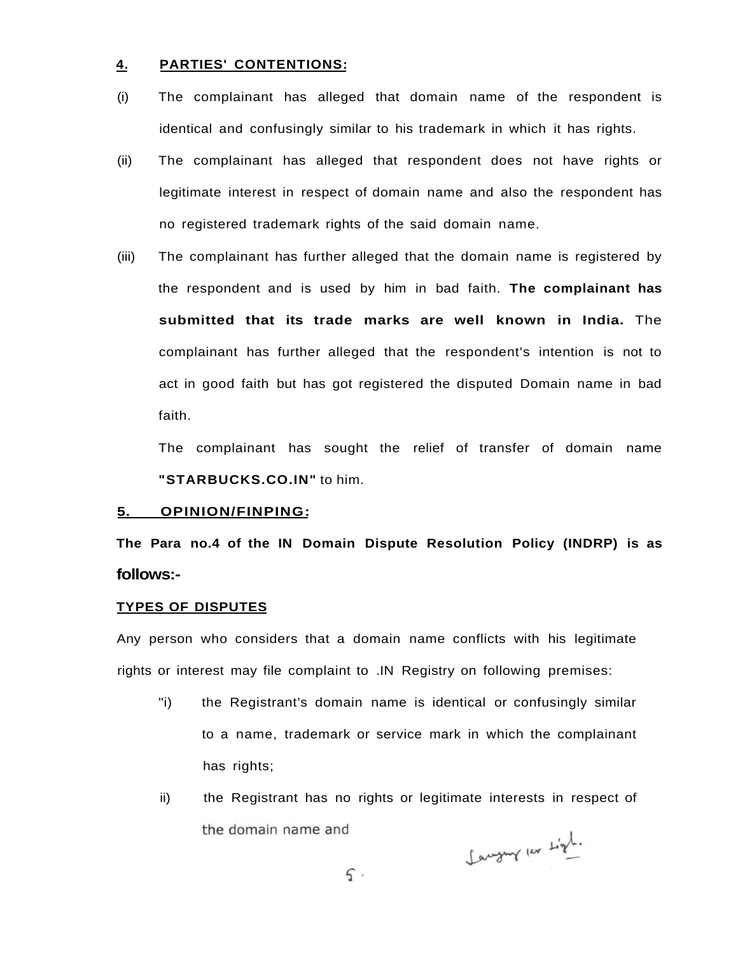#### **4. PARTIES' CONTENTIONS:**

- (i) The complainant has alleged that domain name of the respondent is identical and confusingly similar to his trademark in which it has rights.
- (ii) The complainant has alleged that respondent does not have rights or legitimate interest in respect of domain name and also the respondent has no registered trademark rights of the said domain name.
- (iii) The complainant has further alleged that the domain name is registered by the respondent and is used by him in bad faith. **The complainant has submitted that its trade marks are well known in India.** The complainant has further alleged that the respondent's intention is not to act in good faith but has got registered the disputed Domain name in bad faith.

The complainant has sought the relief of transfer of domain name **"STARBUCKS.CO.IN"** to him.

#### **5. OPINION/FINPING:**

**The Para no.4 of the IN Domain Dispute Resolution Policy (INDRP) is as follows:-**

#### **TYPES OF DISPUTES**

Any person who considers that a domain name conflicts with his legitimate rights or interest may file complaint to .IN Registry on following premises:

- "i) the Registrant's domain name is identical or confusingly similar to a name, trademark or service mark in which the complainant has rights;
- ii) the Registrant has no rights or legitimate interests in respect of the domain name and

Langung par Light.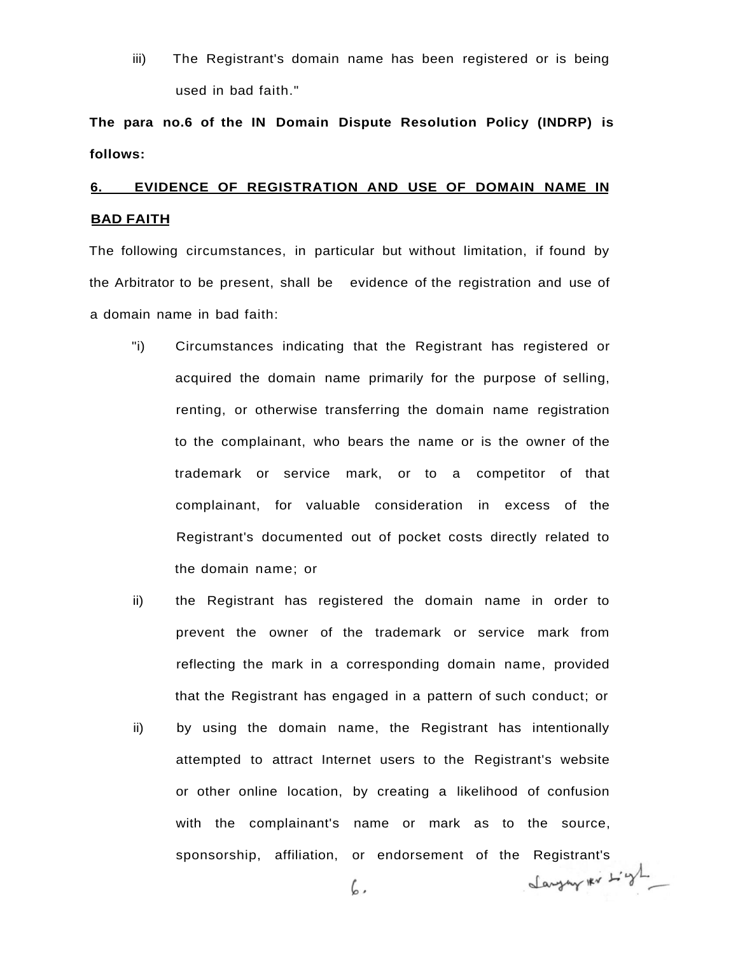iii) The Registrant's domain name has been registered or is being used in bad faith."

**The para no.6 of the IN Domain Dispute Resolution Policy (INDRP) is follows:** 

# **6. EVIDENCE OF REGISTRATION AND USE OF DOMAIN NAME IN BAD FAITH**

The following circumstances, in particular but without limitation, if found by the Arbitrator to be present, shall be evidence of the registration and use of a domain name in bad faith:

- "i) Circumstances indicating that the Registrant has registered or acquired the domain name primarily for the purpose of selling, renting, or otherwise transferring the domain name registration to the complainant, who bears the name or is the owner of the trademark or service mark, or to a competitor of that complainant, for valuable consideration in excess of the Registrant's documented out of pocket costs directly related to the domain name; or
- ii) the Registrant has registered the domain name in order to prevent the owner of the trademark or service mark from reflecting the mark in a corresponding domain name, provided that the Registrant has engaged in a pattern of such conduct; or
- ii) by using the domain name, the Registrant has intentionally attempted to attract Internet users to the Registrant's website or other online location, by creating a likelihood of confusion with the complainant's name or mark as to the source, sponsorship, affiliation, or endorsement of the Registrant's

6,

Langung Kr L'gl.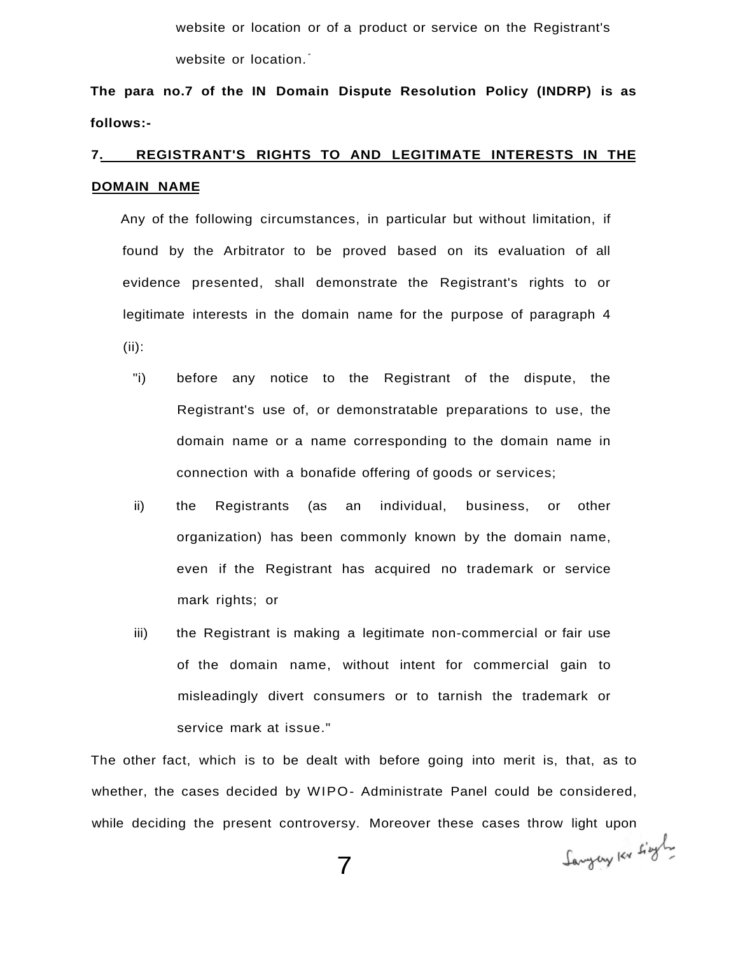website or location or of a product or service on the Registrant's website or location.<sup>"</sup>

**The para no.7 of the IN Domain Dispute Resolution Policy (INDRP) is as follows:-**

# **7. REGISTRANT'S RIGHTS TO AND LEGITIMATE INTERESTS IN THE DOMAIN NAME**

Any of the following circumstances, in particular but without limitation, if found by the Arbitrator to be proved based on its evaluation of all evidence presented, shall demonstrate the Registrant's rights to or legitimate interests in the domain name for the purpose of paragraph 4 (ii):

- "i) before any notice to the Registrant of the dispute, the Registrant's use of, or demonstratable preparations to use, the domain name or a name corresponding to the domain name in connection with a bonafide offering of goods or services;
- ii) the Registrants (as an individual, business, or other organization) has been commonly known by the domain name, even if the Registrant has acquired no trademark or service mark rights; or
- iii) the Registrant is making a legitimate non-commercial or fair use of the domain name, without intent for commercial gain to misleadingly divert consumers or to tarnish the trademark or service mark at issue."

The other fact, which is to be dealt with before going into merit is, that, as to whether, the cases decided by WIPO- Administrate Panel could be considered, while deciding the present controversy. Moreover these cases throw light upon

Sangery Kr Lingly

7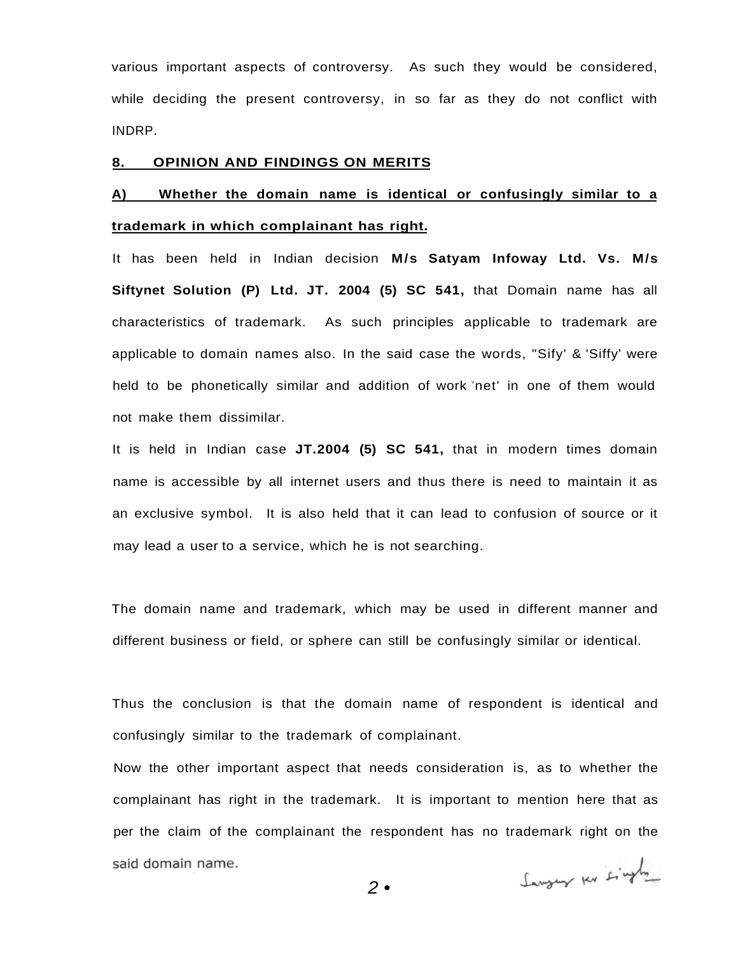various important aspects of controversy. As such they would be considered, while deciding the present controversy, in so far as they do not conflict with INDRP.

#### **8. OPINION AND FINDINGS ON MERITS**

## **A) Whether the domain name is identical or confusingly similar to a trademark in which complainant has right.**

It has been held in Indian decision **M/s Satyam Infoway Ltd. Vs. M/s Siftynet Solution (P) Ltd. JT. 2004 (5) SC 541,** that Domain name has all characteristics of trademark. As such principles applicable to trademark are applicable to domain names also. In the said case the words, "Sify' & 'Siffy' were held to be phonetically similar and addition of work 'net' in one of them would not make them dissimilar.

It is held in Indian case **JT.2004 (5) SC 541,** that in modern times domain name is accessible by all internet users and thus there is need to maintain it as an exclusive symbol. It is also held that it can lead to confusion of source or it may lead a user to a service, which he is not searching.

The domain name and trademark, which may be used in different manner and different business or field, or sphere can still be confusingly similar or identical.

Thus the conclusion is that the domain name of respondent is identical and confusingly similar to the trademark of complainant.

Now the other important aspect that needs consideration is, as to whether the complainant has right in the trademark. It is important to mention here that as per the claim of the complainant the respondent has no trademark right on the said domain name.

Sangung ku singly

2 •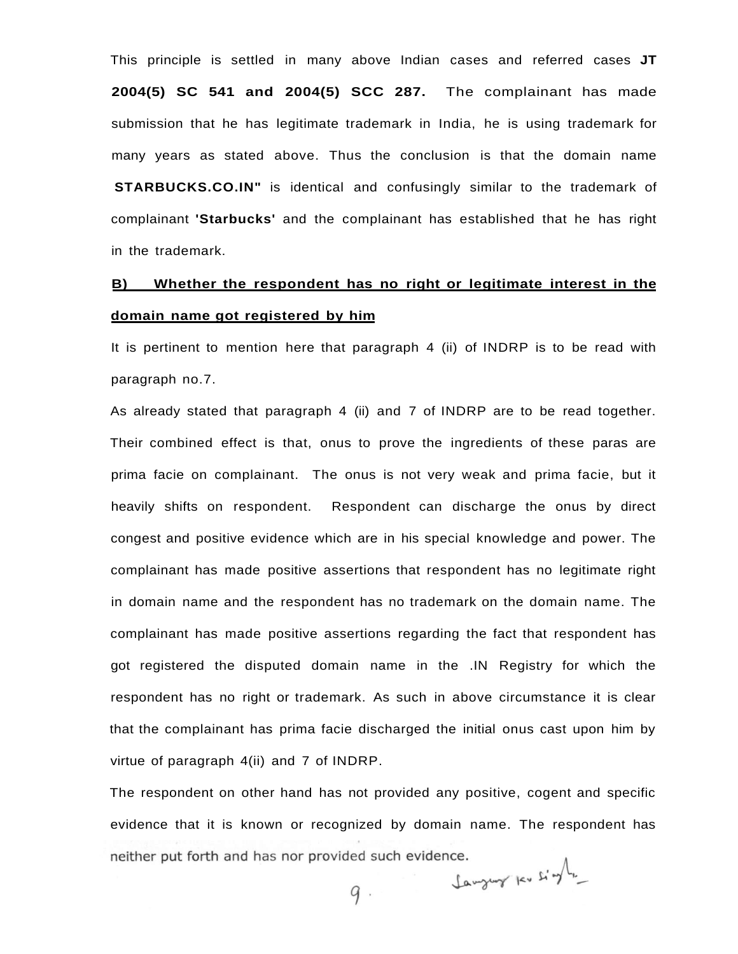This principle is settled in many above Indian cases and referred cases **JT 2004(5) SC 541 and 2004(5) SCC 287.** The complainant has made submission that he has legitimate trademark in India, he is using trademark for many years as stated above. Thus the conclusion is that the domain name **STARBUCKS.CO.IN"** is identical and confusingly similar to the trademark of complainant **'Starbucks'** and the complainant has established that he has right in the trademark.

## **B) Whether the respondent has no right or legitimate interest in the domain name got registered by him**

It is pertinent to mention here that paragraph 4 (ii) of INDRP is to be read with paragraph no.7.

As already stated that paragraph 4 (ii) and 7 of INDRP are to be read together. Their combined effect is that, onus to prove the ingredients of these paras are prima facie on complainant. The onus is not very weak and prima facie, but it heavily shifts on respondent. Respondent can discharge the onus by direct congest and positive evidence which are in his special knowledge and power. The complainant has made positive assertions that respondent has no legitimate right in domain name and the respondent has no trademark on the domain name. The complainant has made positive assertions regarding the fact that respondent has got registered the disputed domain name in the .IN Registry for which the respondent has no right or trademark. As such in above circumstance it is clear that the complainant has prima facie discharged the initial onus cast upon him by virtue of paragraph 4(ii) and 7 of INDRP.

The respondent on other hand has not provided any positive, cogent and specific evidence that it is known or recognized by domain name. The respondent has neither put forth and has nor provided such evidence. Lawyung ku single

 $q$ .